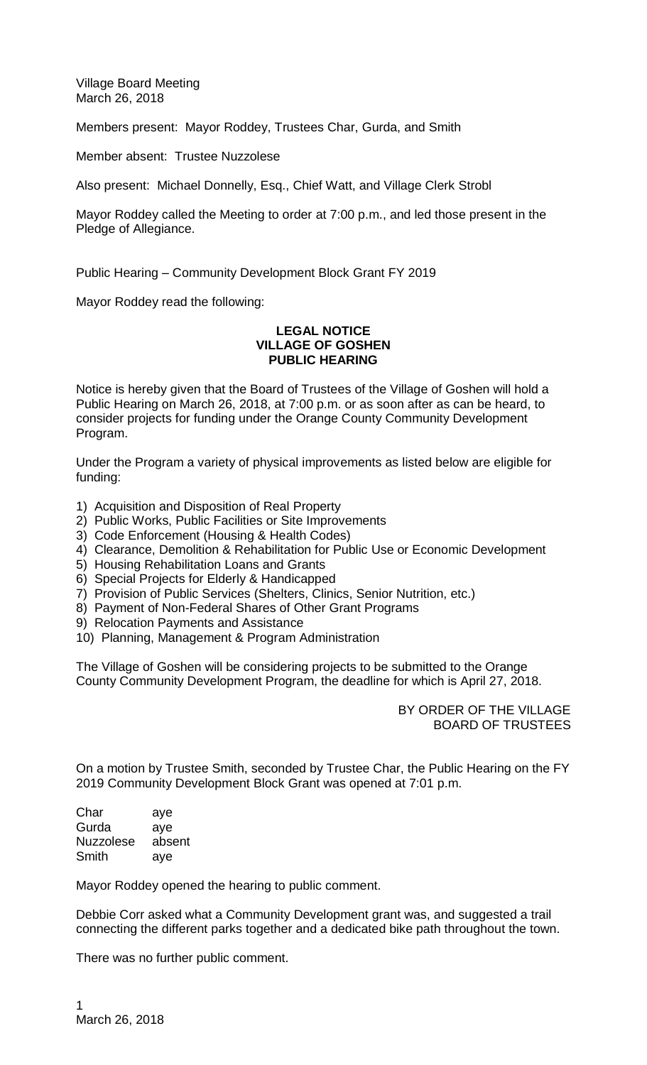Village Board Meeting March 26, 2018

Members present: Mayor Roddey, Trustees Char, Gurda, and Smith

Member absent: Trustee Nuzzolese

Also present: Michael Donnelly, Esq., Chief Watt, and Village Clerk Strobl

Mayor Roddey called the Meeting to order at 7:00 p.m., and led those present in the Pledge of Allegiance.

Public Hearing – Community Development Block Grant FY 2019

Mayor Roddey read the following:

## **LEGAL NOTICE VILLAGE OF GOSHEN PUBLIC HEARING**

Notice is hereby given that the Board of Trustees of the Village of Goshen will hold a Public Hearing on March 26, 2018, at 7:00 p.m. or as soon after as can be heard, to consider projects for funding under the Orange County Community Development Program.

Under the Program a variety of physical improvements as listed below are eligible for funding:

- 1) Acquisition and Disposition of Real Property
- 2) Public Works, Public Facilities or Site Improvements
- 3) Code Enforcement (Housing & Health Codes)
- 4) Clearance, Demolition & Rehabilitation for Public Use or Economic Development
- 5) Housing Rehabilitation Loans and Grants
- 6) Special Projects for Elderly & Handicapped
- 7) Provision of Public Services (Shelters, Clinics, Senior Nutrition, etc.)
- 8) Payment of Non-Federal Shares of Other Grant Programs
- 9) Relocation Payments and Assistance
- 10) Planning, Management & Program Administration

The Village of Goshen will be considering projects to be submitted to the Orange County Community Development Program, the deadline for which is April 27, 2018.

> BY ORDER OF THE VILLAGE BOARD OF TRUSTEES

On a motion by Trustee Smith, seconded by Trustee Char, the Public Hearing on the FY 2019 Community Development Block Grant was opened at 7:01 p.m.

Char aye Gurda aye Nuzzolese absent Smith aye

Mayor Roddey opened the hearing to public comment.

Debbie Corr asked what a Community Development grant was, and suggested a trail connecting the different parks together and a dedicated bike path throughout the town.

There was no further public comment.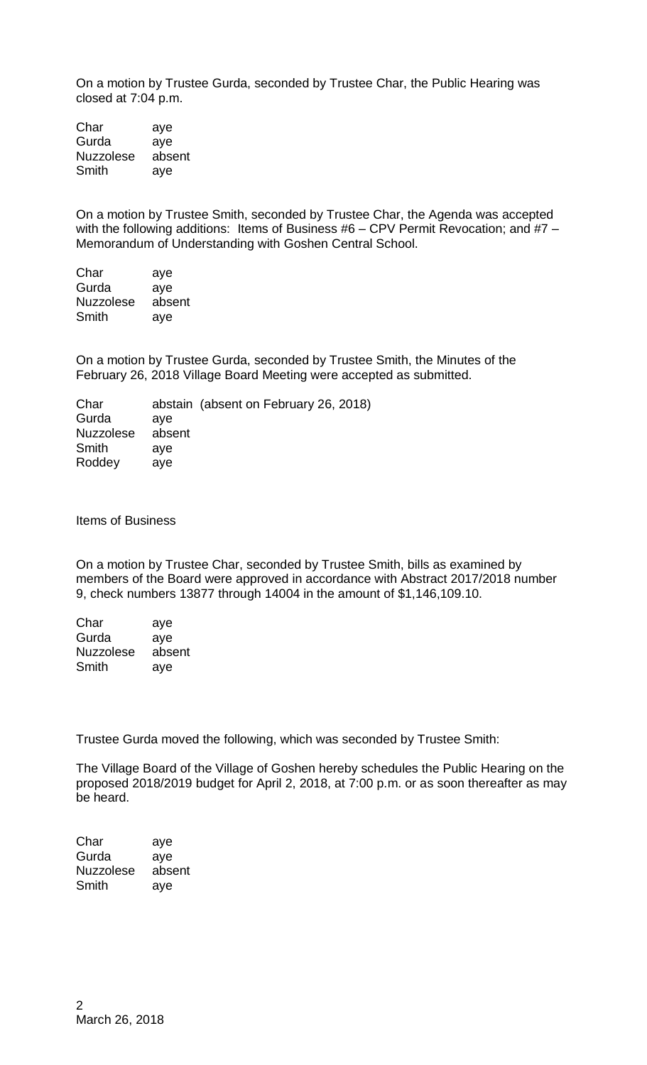On a motion by Trustee Gurda, seconded by Trustee Char, the Public Hearing was closed at 7:04 p.m.

Char aye Gurda aye Nuzzolese absent Smith aye

On a motion by Trustee Smith, seconded by Trustee Char, the Agenda was accepted with the following additions: Items of Business #6 - CPV Permit Revocation; and #7 -Memorandum of Understanding with Goshen Central School.

| Char             | aye    |
|------------------|--------|
| Gurda            | aye    |
| <b>Nuzzolese</b> | absent |
| Smith            | ave    |

On a motion by Trustee Gurda, seconded by Trustee Smith, the Minutes of the February 26, 2018 Village Board Meeting were accepted as submitted.

| Char             |        | abstain (absent on February 26, 2018) |
|------------------|--------|---------------------------------------|
| Gurda            | ave    |                                       |
| <b>Nuzzolese</b> | absent |                                       |
| Smith            | ave    |                                       |
| Roddey           | ave    |                                       |
|                  |        |                                       |

Items of Business

On a motion by Trustee Char, seconded by Trustee Smith, bills as examined by members of the Board were approved in accordance with Abstract 2017/2018 number 9, check numbers 13877 through 14004 in the amount of \$1,146,109.10.

| Char             | aye    |
|------------------|--------|
| Gurda            | aye    |
| <b>Nuzzolese</b> | absent |
| Smith            | aye    |

Trustee Gurda moved the following, which was seconded by Trustee Smith:

The Village Board of the Village of Goshen hereby schedules the Public Hearing on the proposed 2018/2019 budget for April 2, 2018, at 7:00 p.m. or as soon thereafter as may be heard.

Char aye Gurda aye<br>Nuzzolese absent Nuzzolese Smith aye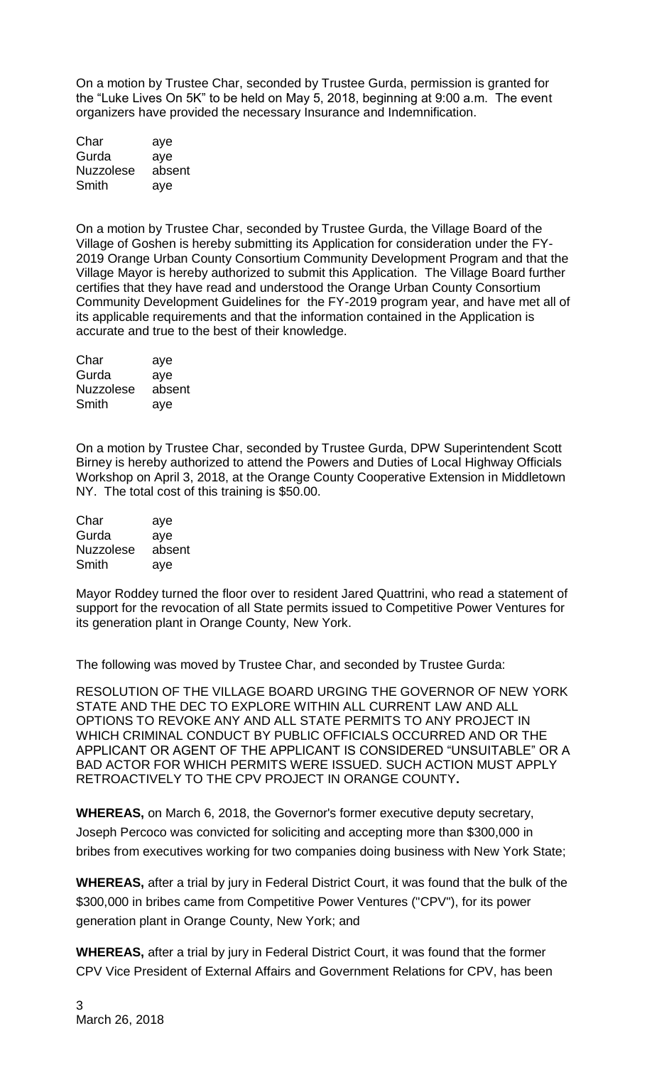On a motion by Trustee Char, seconded by Trustee Gurda, permission is granted for the "Luke Lives On 5K" to be held on May 5, 2018, beginning at 9:00 a.m. The event organizers have provided the necessary Insurance and Indemnification.

| Char             | aye    |
|------------------|--------|
| Gurda            | aye    |
| <b>Nuzzolese</b> | absent |
| Smith            | aye    |

On a motion by Trustee Char, seconded by Trustee Gurda, the Village Board of the Village of Goshen is hereby submitting its Application for consideration under the FY-2019 Orange Urban County Consortium Community Development Program and that the Village Mayor is hereby authorized to submit this Application. The Village Board further certifies that they have read and understood the Orange Urban County Consortium Community Development Guidelines for the FY-2019 program year, and have met all of its applicable requirements and that the information contained in the Application is accurate and true to the best of their knowledge.

| Char             | aye    |
|------------------|--------|
| Gurda            | aye    |
| <b>Nuzzolese</b> | absent |
| Smith            | aye    |

On a motion by Trustee Char, seconded by Trustee Gurda, DPW Superintendent Scott Birney is hereby authorized to attend the Powers and Duties of Local Highway Officials Workshop on April 3, 2018, at the Orange County Cooperative Extension in Middletown NY. The total cost of this training is \$50.00.

| Char             | aye    |
|------------------|--------|
| Gurda            | aye    |
| <b>Nuzzolese</b> | absent |
| Smith            | aye    |

Mayor Roddey turned the floor over to resident Jared Quattrini, who read a statement of support for the revocation of all State permits issued to Competitive Power Ventures for its generation plant in Orange County, New York.

The following was moved by Trustee Char, and seconded by Trustee Gurda:

RESOLUTION OF THE VILLAGE BOARD URGING THE GOVERNOR OF NEW YORK STATE AND THE DEC TO EXPLORE WITHIN ALL CURRENT LAW AND ALL OPTIONS TO REVOKE ANY AND ALL STATE PERMITS TO ANY PROJECT IN WHICH CRIMINAL CONDUCT BY PUBLIC OFFICIALS OCCURRED AND OR THE APPLICANT OR AGENT OF THE APPLICANT IS CONSIDERED "UNSUITABLE" OR A BAD ACTOR FOR WHICH PERMITS WERE ISSUED. SUCH ACTION MUST APPLY RETROACTIVELY TO THE CPV PROJECT IN ORANGE COUNTY**.** 

**WHEREAS,** on March 6, 2018, the Governor's former executive deputy secretary, Joseph Percoco was convicted for soliciting and accepting more than \$300,000 in bribes from executives working for two companies doing business with New York State;

**WHEREAS,** after a trial by jury in Federal District Court, it was found that the bulk of the \$300,000 in bribes came from Competitive Power Ventures ("CPV"), for its power generation plant in Orange County, New York; and

**WHEREAS,** after a trial by jury in Federal District Court, it was found that the former CPV Vice President of External Affairs and Government Relations for CPV, has been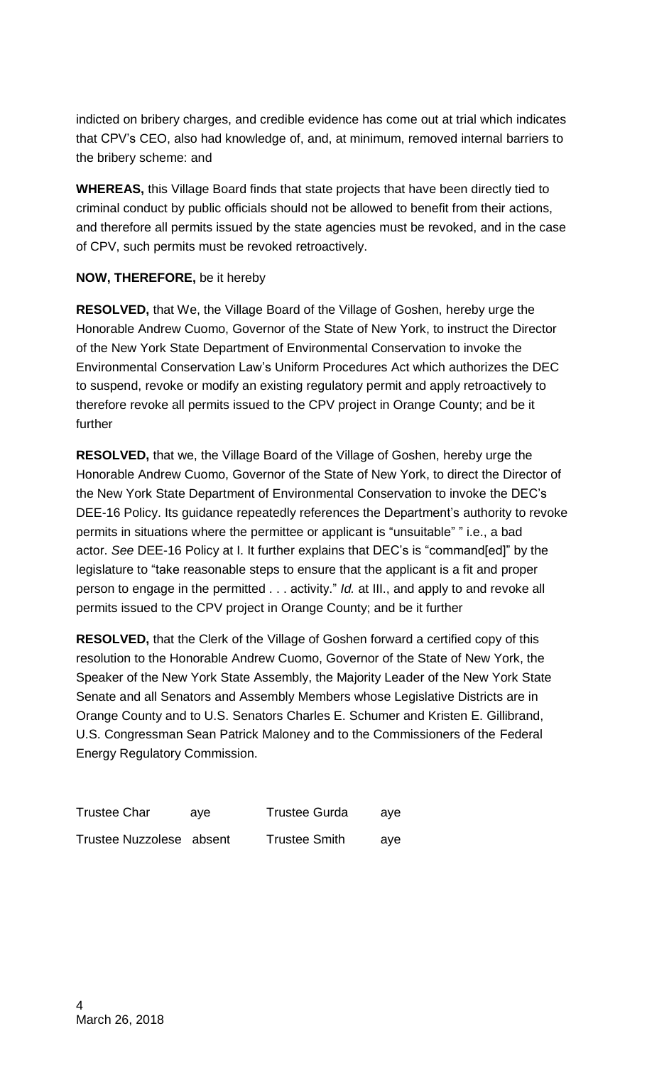indicted on bribery charges, and credible evidence has come out at trial which indicates that CPV's CEO, also had knowledge of, and, at minimum, removed internal barriers to the bribery scheme: and

**WHEREAS,** this Village Board finds that state projects that have been directly tied to criminal conduct by public officials should not be allowed to benefit from their actions, and therefore all permits issued by the state agencies must be revoked, and in the case of CPV, such permits must be revoked retroactively.

## **NOW, THEREFORE,** be it hereby

**RESOLVED,** that We, the Village Board of the Village of Goshen, hereby urge the Honorable Andrew Cuomo, Governor of the State of New York, to instruct the Director of the New York State Department of Environmental Conservation to invoke the Environmental Conservation Law's Uniform Procedures Act which authorizes the DEC to suspend, revoke or modify an existing regulatory permit and apply retroactively to therefore revoke all permits issued to the CPV project in Orange County; and be it further

**RESOLVED,** that we, the Village Board of the Village of Goshen, hereby urge the Honorable Andrew Cuomo, Governor of the State of New York, to direct the Director of the New York State Department of Environmental Conservation to invoke the DEC's DEE-16 Policy. Its guidance repeatedly references the Department's authority to revoke permits in situations where the permittee or applicant is "unsuitable" " i.e., a bad actor. *See* DEE-16 Policy at I. It further explains that DEC's is "command[ed]" by the legislature to "take reasonable steps to ensure that the applicant is a fit and proper person to engage in the permitted . . . activity." *Id.* at III., and apply to and revoke all permits issued to the CPV project in Orange County; and be it further

**RESOLVED,** that the Clerk of the Village of Goshen forward a certified copy of this resolution to the Honorable Andrew Cuomo, Governor of the State of New York, the Speaker of the New York State Assembly, the Majority Leader of the New York State Senate and all Senators and Assembly Members whose Legislative Districts are in Orange County and to U.S. Senators Charles E. Schumer and Kristen E. Gillibrand, U.S. Congressman Sean Patrick Maloney and to the Commissioners of the Federal Energy Regulatory Commission.

| <b>Trustee Char</b>      | ave | <b>Trustee Gurda</b> | ave |
|--------------------------|-----|----------------------|-----|
| Trustee Nuzzolese absent |     | <b>Trustee Smith</b> | ave |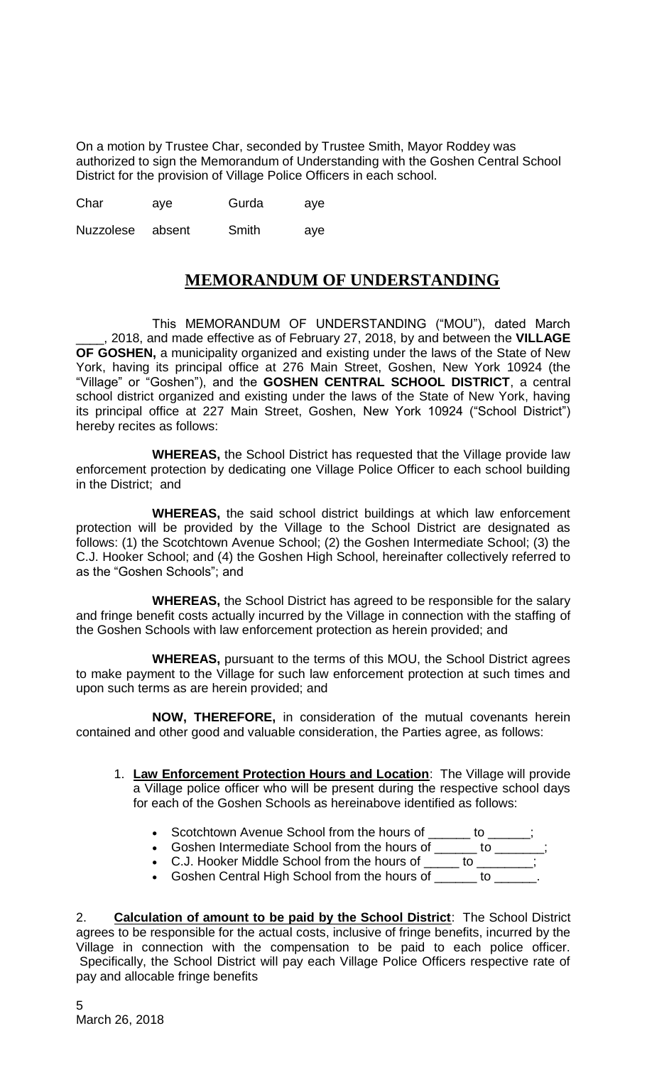On a motion by Trustee Char, seconded by Trustee Smith, Mayor Roddey was authorized to sign the Memorandum of Understanding with the Goshen Central School District for the provision of Village Police Officers in each school.

| Char | ave | Gurda | ave |
|------|-----|-------|-----|
|      |     |       |     |

Nuzzolese absent Smith aye

## **MEMORANDUM OF UNDERSTANDING**

This MEMORANDUM OF UNDERSTANDING ("MOU"), dated March \_\_\_\_, 2018, and made effective as of February 27, 2018, by and between the **VILLAGE OF GOSHEN,** a municipality organized and existing under the laws of the State of New York, having its principal office at 276 Main Street, Goshen, New York 10924 (the "Village" or "Goshen"), and the **GOSHEN CENTRAL SCHOOL DISTRICT**, a central school district organized and existing under the laws of the State of New York, having its principal office at 227 Main Street, Goshen, New York 10924 ("School District") hereby recites as follows:

**WHEREAS,** the School District has requested that the Village provide law enforcement protection by dedicating one Village Police Officer to each school building in the District; and

**WHEREAS,** the said school district buildings at which law enforcement protection will be provided by the Village to the School District are designated as follows: (1) the Scotchtown Avenue School; (2) the Goshen Intermediate School; (3) the C.J. Hooker School; and (4) the Goshen High School, hereinafter collectively referred to as the "Goshen Schools"; and

**WHEREAS,** the School District has agreed to be responsible for the salary and fringe benefit costs actually incurred by the Village in connection with the staffing of the Goshen Schools with law enforcement protection as herein provided; and

**WHEREAS,** pursuant to the terms of this MOU, the School District agrees to make payment to the Village for such law enforcement protection at such times and upon such terms as are herein provided; and

**NOW, THEREFORE,** in consideration of the mutual covenants herein contained and other good and valuable consideration, the Parties agree, as follows:

- 1. **Law Enforcement Protection Hours and Location**: The Village will provide a Village police officer who will be present during the respective school days for each of the Goshen Schools as hereinabove identified as follows:
	- Scotchtown Avenue School from the hours of \_\_\_\_\_\_\_ to \_
	- Goshen Intermediate School from the hours of \_\_\_\_\_\_ to \_\_\_\_\_\_;
	- C.J. Hooker Middle School from the hours of \_\_\_\_\_ to \_\_\_\_\_\_\_;
	- Goshen Central High School from the hours of \_\_\_\_\_\_\_ to \_

2. **Calculation of amount to be paid by the School District**: The School District agrees to be responsible for the actual costs, inclusive of fringe benefits, incurred by the Village in connection with the compensation to be paid to each police officer. Specifically, the School District will pay each Village Police Officers respective rate of pay and allocable fringe benefits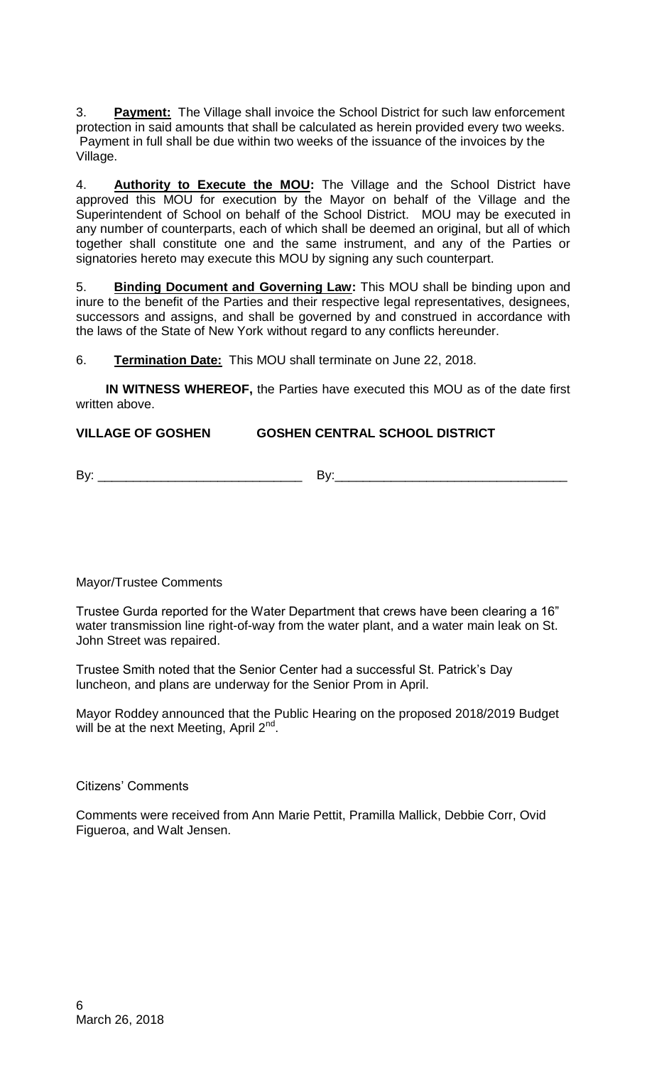3. **Payment:** The Village shall invoice the School District for such law enforcement protection in said amounts that shall be calculated as herein provided every two weeks. Payment in full shall be due within two weeks of the issuance of the invoices by the Village.

4. **Authority to Execute the MOU:** The Village and the School District have approved this MOU for execution by the Mayor on behalf of the Village and the Superintendent of School on behalf of the School District. MOU may be executed in any number of counterparts, each of which shall be deemed an original, but all of which together shall constitute one and the same instrument, and any of the Parties or signatories hereto may execute this MOU by signing any such counterpart.

5. **Binding Document and Governing Law:** This MOU shall be binding upon and inure to the benefit of the Parties and their respective legal representatives, designees, successors and assigns, and shall be governed by and construed in accordance with the laws of the State of New York without regard to any conflicts hereunder.

6. **Termination Date:** This MOU shall terminate on June 22, 2018.

 **IN WITNESS WHEREOF,** the Parties have executed this MOU as of the date first written above.

## **VILLAGE OF GOSHEN GOSHEN CENTRAL SCHOOL DISTRICT**

By: \_\_\_\_\_\_\_\_\_\_\_\_\_\_\_\_\_\_\_\_\_\_\_\_\_\_\_\_\_ By:\_\_\_\_\_\_\_\_\_\_\_\_\_\_\_\_\_\_\_\_\_\_\_\_\_\_\_\_\_\_\_\_\_

Mayor/Trustee Comments

Trustee Gurda reported for the Water Department that crews have been clearing a 16" water transmission line right-of-way from the water plant, and a water main leak on St. John Street was repaired.

Trustee Smith noted that the Senior Center had a successful St. Patrick's Day luncheon, and plans are underway for the Senior Prom in April.

Mayor Roddey announced that the Public Hearing on the proposed 2018/2019 Budget will be at the next Meeting, April 2<sup>nd</sup>.

Citizens' Comments

Comments were received from Ann Marie Pettit, Pramilla Mallick, Debbie Corr, Ovid Figueroa, and Walt Jensen.